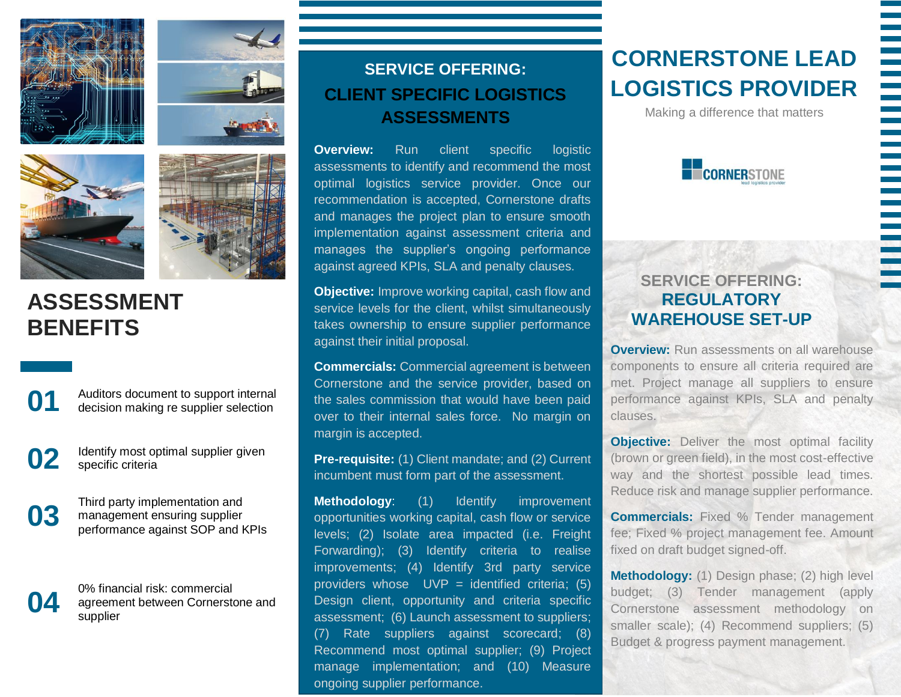





## **ASSESSMENT BENEFITS**



**01** Auditors document to support internal decision making re supplier selection

**02** Identify most optimal supplier given specific criteria

Third party implementation and<br>management ensuring supplier<br>performance against SOP and **k** management ensuring supplier performance against SOP and KPIs

0% financial risk: commercial<br>agreement between Cornersto<br>supplier agreement between Cornerstone and supplier

### **SERVICE OFFERING: CLIENT SPECIFIC LOGISTICS ASSESSMENTS**

**Overview:** Run client specific logistic assessments to identify and recommend the most optimal logistics service provider. Once our recommendation is accepted, Cornerstone drafts and manages the project plan to ensure smooth implementation against assessment criteria and manages the supplier's ongoing performance against agreed KPIs, SLA and penalty clauses.

**Objective:** Improve working capital, cash flow and service levels for the client, whilst simultaneously takes ownership to ensure supplier performance against their initial proposal.

**Commercials:** Commercial agreement is between Cornerstone and the service provider, based on the sales commission that would have been paid over to their internal sales force. No margin on margin is accepted.

**Pre-requisite:** (1) Client mandate; and (2) Current incumbent must form part of the assessment.

**Methodology**: (1) Identify improvement opportunities working capital, cash flow or service levels; (2) Isolate area impacted (i.e. Freight Forwarding); (3) Identify criteria to realise improvements; (4) Identify 3rd party service providers whose  $UVP =$  identified criteria; (5) Design client, opportunity and criteria specific assessment; (6) Launch assessment to suppliers; (7) Rate suppliers against scorecard; (8) Recommend most optimal supplier; (9) Project manage implementation; and (10) Measure ongoing supplier performance.

# **CORNERSTONE LEAD LOGISTICS PROVIDER**

Making a difference that matters



### **SERVICE OFFERING: REGULATORY WAREHOUSE SET-UP**

**Overview:** Run assessments on all warehouse components to ensure all criteria required are met. Project manage all suppliers to ensure performance against KPIs, SLA and penalty clauses.

**Objective:** Deliver the most optimal facility (brown or green field), in the most cost-effective way and the shortest possible lead times. Reduce risk and manage supplier performance.

**Commercials:** Fixed % Tender management fee; Fixed % project management fee. Amount fixed on draft budget signed-off.

**Methodology:** (1) Design phase; (2) high level budget; (3) Tender management (apply Cornerstone assessment methodology on smaller scale); (4) Recommend suppliers; (5) Budget & progress payment management.